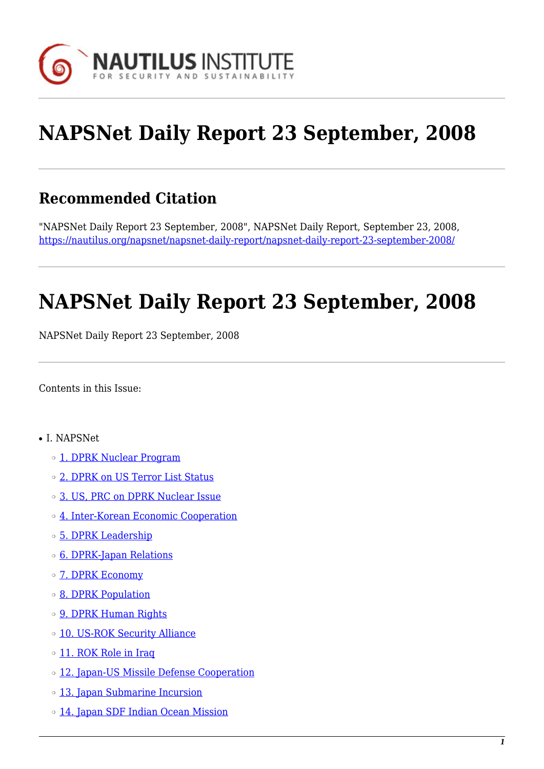

# **NAPSNet Daily Report 23 September, 2008**

# **Recommended Citation**

"NAPSNet Daily Report 23 September, 2008", NAPSNet Daily Report, September 23, 2008, <https://nautilus.org/napsnet/napsnet-daily-report/napsnet-daily-report-23-september-2008/>

# **NAPSNet Daily Report 23 September, 2008**

NAPSNet Daily Report 23 September, 2008

<span id="page-0-0"></span>Contents in this Issue:

- I. NAPSNet
	- o [1. DPRK Nuclear Program](#page-1-0)
	- ❍ [2. DPRK on US Terror List Status](#page-1-1)
	- ❍ [3. US, PRC on DPRK Nuclear Issue](#page-2-0)
	- ❍ [4. Inter-Korean Economic Cooperation](#page-2-1)
	- ❍ [5. DPRK Leadership](#page-2-2)
	- ❍ [6. DPRK-Japan Relations](#page-3-0)
	- ❍ [7. DPRK Economy](#page-3-1)
	- ❍ [8. DPRK Population](#page-3-2)
	- ❍ [9. DPRK Human Rights](#page-3-3)
	- o [10. US-ROK Security Alliance](#page-3-4)
	- o [11. ROK Role in Iraq](#page-4-0)
	- o [12. Japan-US Missile Defense Cooperation](#page-4-1)
	- ❍ [13. Japan Submarine Incursion](#page-4-2)
	- o [14. Japan SDF Indian Ocean Mission](#page-5-0)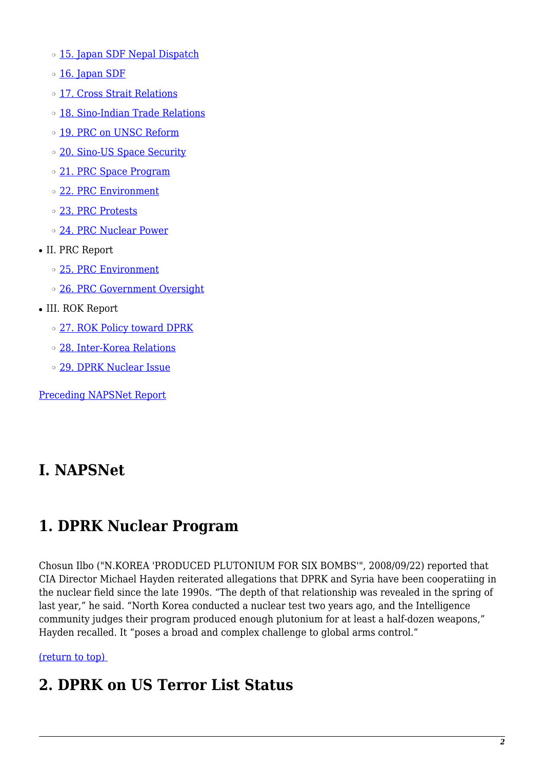- o [15. Japan SDF Nepal Dispatch](#page-5-1)
- o [16. Japan SDF](#page-5-2)
- ❍ [17. Cross Strait Relations](#page-5-3)
- ❍ [18. Sino-Indian Trade Relations](#page-6-0)
- ❍ [19. PRC on UNSC Reform](#page-6-1)
- ❍ [20. Sino-US Space Security](#page-6-2)
- o [21. PRC Space Program](#page-6-3)
- ❍ [22. PRC Environment](#page-7-0)
- ❍ [23. PRC Protests](#page-7-1)
- ❍ [24. PRC Nuclear Power](#page-7-2)
- II. PRC Report
	- ❍ [25. PRC Environment](#page-7-3)
	- ❍ [26. PRC Government Oversight](#page-8-0)
- III. ROK Report
	- ❍ [27. ROK Policy toward DPRK](#page-8-1)
	- ❍ [28. Inter-Korea Relations](#page-8-2)
	- ❍ [29. DPRK Nuclear Issue](#page-9-0)

[Preceding NAPSNet Report](https://nautilus.org/mailing-lists/napsnet/dr/2008-2/napsnet-daily-report-22-september-2008/)

# **I. NAPSNet**

# <span id="page-1-0"></span>**1. DPRK Nuclear Program**

Chosun Ilbo ("N.KOREA 'PRODUCED PLUTONIUM FOR SIX BOMBS'", 2008/09/22) reported that CIA Director Michael Hayden reiterated allegations that DPRK and Syria have been cooperatiing in the nuclear field since the late 1990s. "The depth of that relationship was revealed in the spring of last year," he said. "North Korea conducted a nuclear test two years ago, and the Intelligence community judges their program produced enough plutonium for at least a half-dozen weapons," Hayden recalled. It "poses a broad and complex challenge to global arms control."

### <span id="page-1-1"></span>[\(return to top\)](#page-0-0)

# **2. DPRK on US Terror List Status**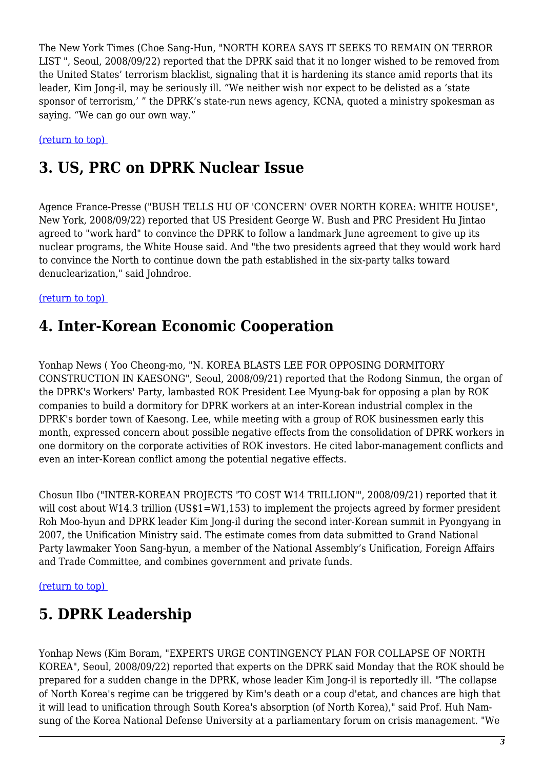The New York Times (Choe Sang-Hun, "NORTH KOREA SAYS IT SEEKS TO REMAIN ON TERROR LIST ", Seoul, 2008/09/22) reported that the DPRK said that it no longer wished to be removed from the United States' terrorism blacklist, signaling that it is hardening its stance amid reports that its leader, Kim Jong-il, may be seriously ill. "We neither wish nor expect to be delisted as a 'state sponsor of terrorism,' " the DPRK's state-run news agency, KCNA, quoted a ministry spokesman as saying. "We can go our own way."

#### <span id="page-2-0"></span>[\(return to top\)](#page-0-0)

# **3. US, PRC on DPRK Nuclear Issue**

Agence France-Presse ("BUSH TELLS HU OF 'CONCERN' OVER NORTH KOREA: WHITE HOUSE", New York, 2008/09/22) reported that US President George W. Bush and PRC President Hu Jintao agreed to "work hard" to convince the DPRK to follow a landmark June agreement to give up its nuclear programs, the White House said. And "the two presidents agreed that they would work hard to convince the North to continue down the path established in the six-party talks toward denuclearization," said Johndroe.

#### <span id="page-2-1"></span>[\(return to top\)](#page-0-0)

### **4. Inter-Korean Economic Cooperation**

Yonhap News ( Yoo Cheong-mo, "N. KOREA BLASTS LEE FOR OPPOSING DORMITORY CONSTRUCTION IN KAESONG", Seoul, 2008/09/21) reported that the Rodong Sinmun, the organ of the DPRK's Workers' Party, lambasted ROK President Lee Myung-bak for opposing a plan by ROK companies to build a dormitory for DPRK workers at an inter-Korean industrial complex in the DPRK's border town of Kaesong. Lee, while meeting with a group of ROK businessmen early this month, expressed concern about possible negative effects from the consolidation of DPRK workers in one dormitory on the corporate activities of ROK investors. He cited labor-management conflicts and even an inter-Korean conflict among the potential negative effects.

Chosun Ilbo ("INTER-KOREAN PROJECTS 'TO COST W14 TRILLION'", 2008/09/21) reported that it will cost about W14.3 trillion (US\$1=W1,153) to implement the projects agreed by former president Roh Moo-hyun and DPRK leader Kim Jong-il during the second inter-Korean summit in Pyongyang in 2007, the Unification Ministry said. The estimate comes from data submitted to Grand National Party lawmaker Yoon Sang-hyun, a member of the National Assembly's Unification, Foreign Affairs and Trade Committee, and combines government and private funds.

#### <span id="page-2-2"></span>[\(return to top\)](#page-0-0)

### **5. DPRK Leadership**

Yonhap News (Kim Boram, "EXPERTS URGE CONTINGENCY PLAN FOR COLLAPSE OF NORTH KOREA", Seoul, 2008/09/22) reported that experts on the DPRK said Monday that the ROK should be prepared for a sudden change in the DPRK, whose leader Kim Jong-il is reportedly ill. "The collapse of North Korea's regime can be triggered by Kim's death or a coup d'etat, and chances are high that it will lead to unification through South Korea's absorption (of North Korea)," said Prof. Huh Namsung of the Korea National Defense University at a parliamentary forum on crisis management. "We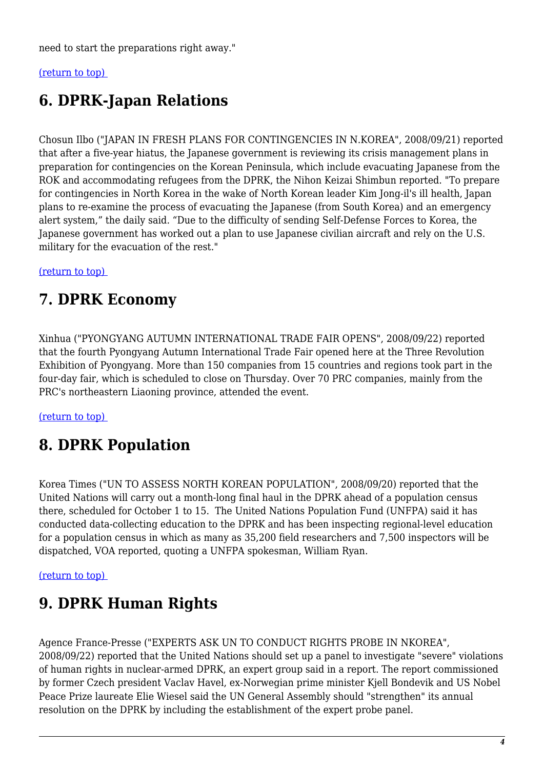need to start the preparations right away."

#### <span id="page-3-0"></span>[\(return to top\)](#page-0-0)

# **6. DPRK-Japan Relations**

Chosun Ilbo ("JAPAN IN FRESH PLANS FOR CONTINGENCIES IN N.KOREA", 2008/09/21) reported that after a five-year hiatus, the Japanese government is reviewing its crisis management plans in preparation for contingencies on the Korean Peninsula, which include evacuating Japanese from the ROK and accommodating refugees from the DPRK, the Nihon Keizai Shimbun reported. "To prepare for contingencies in North Korea in the wake of North Korean leader Kim Jong-il's ill health, Japan plans to re-examine the process of evacuating the Japanese (from South Korea) and an emergency alert system," the daily said. "Due to the difficulty of sending Self-Defense Forces to Korea, the Japanese government has worked out a plan to use Japanese civilian aircraft and rely on the U.S. military for the evacuation of the rest."

#### <span id="page-3-1"></span>[\(return to top\)](#page-0-0)

## **7. DPRK Economy**

Xinhua ("PYONGYANG AUTUMN INTERNATIONAL TRADE FAIR OPENS", 2008/09/22) reported that the fourth Pyongyang Autumn International Trade Fair opened here at the Three Revolution Exhibition of Pyongyang. More than 150 companies from 15 countries and regions took part in the four-day fair, which is scheduled to close on Thursday. Over 70 PRC companies, mainly from the PRC's northeastern Liaoning province, attended the event.

#### <span id="page-3-2"></span>[\(return to top\)](#page-0-0)

# **8. DPRK Population**

Korea Times ("UN TO ASSESS NORTH KOREAN POPULATION", 2008/09/20) reported that the United Nations will carry out a month-long final haul in the DPRK ahead of a population census there, scheduled for October 1 to 15. The United Nations Population Fund (UNFPA) said it has conducted data-collecting education to the DPRK and has been inspecting regional-level education for a population census in which as many as 35,200 field researchers and 7,500 inspectors will be dispatched, VOA reported, quoting a UNFPA spokesman, William Ryan.

#### <span id="page-3-3"></span>[\(return to top\)](#page-0-0)

# **9. DPRK Human Rights**

<span id="page-3-4"></span>Agence France-Presse ("EXPERTS ASK UN TO CONDUCT RIGHTS PROBE IN NKOREA", 2008/09/22) reported that the United Nations should set up a panel to investigate "severe" violations of human rights in nuclear-armed DPRK, an expert group said in a report. The report commissioned by former Czech president Vaclav Havel, ex-Norwegian prime minister Kjell Bondevik and US Nobel Peace Prize laureate Elie Wiesel said the UN General Assembly should "strengthen" its annual resolution on the DPRK by including the establishment of the expert probe panel.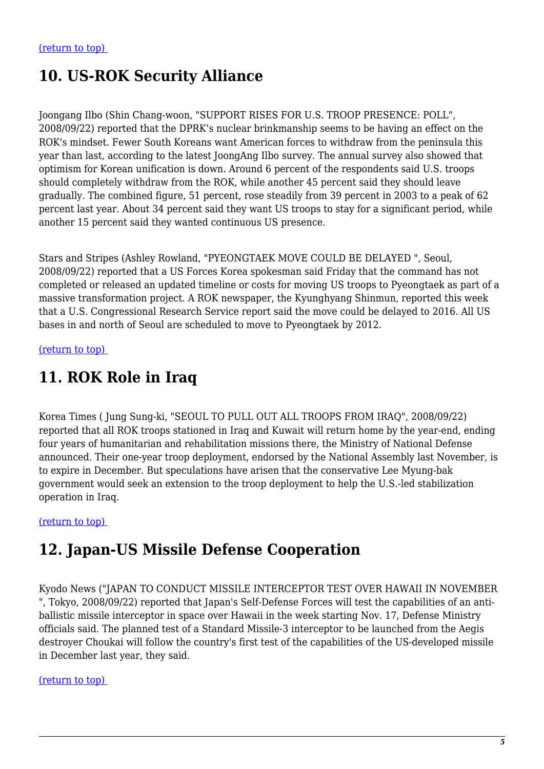# **10. US-ROK Security Alliance**

Joongang Ilbo (Shin Chang-woon, "SUPPORT RISES FOR U.S. TROOP PRESENCE: POLL", 2008/09/22) reported that the DPRK's nuclear brinkmanship seems to be having an effect on the ROK's mindset. Fewer South Koreans want American forces to withdraw from the peninsula this year than last, according to the latest JoongAng Ilbo survey. The annual survey also showed that optimism for Korean unification is down. Around 6 percent of the respondents said U.S. troops should completely withdraw from the ROK, while another 45 percent said they should leave gradually. The combined figure, 51 percent, rose steadily from 39 percent in 2003 to a peak of 62 percent last year. About 34 percent said they want US troops to stay for a significant period, while another 15 percent said they wanted continuous US presence.

Stars and Stripes (Ashley Rowland, "PYEONGTAEK MOVE COULD BE DELAYED ", Seoul, 2008/09/22) reported that a US Forces Korea spokesman said Friday that the command has not completed or released an updated timeline or costs for moving US troops to Pyeongtaek as part of a massive transformation project. A ROK newspaper, the Kyunghyang Shinmun, reported this week that a U.S. Congressional Research Service report said the move could be delayed to 2016. All US bases in and north of Seoul are scheduled to move to Pyeongtaek by 2012.

<span id="page-4-0"></span>[\(return to top\)](#page-0-0) 

### **11. ROK Role in Iraq**

Korea Times ( Jung Sung-ki, "SEOUL TO PULL OUT ALL TROOPS FROM IRAQ", 2008/09/22) reported that all ROK troops stationed in Iraq and Kuwait will return home by the year-end, ending four years of humanitarian and rehabilitation missions there, the Ministry of National Defense announced. Their one-year troop deployment, endorsed by the National Assembly last November, is to expire in December. But speculations have arisen that the conservative Lee Myung-bak government would seek an extension to the troop deployment to help the U.S.-led stabilization operation in Iraq.

#### <span id="page-4-1"></span>[\(return to top\)](#page-0-0)

### **12. Japan-US Missile Defense Cooperation**

Kyodo News ("JAPAN TO CONDUCT MISSILE INTERCEPTOR TEST OVER HAWAII IN NOVEMBER ", Tokyo, 2008/09/22) reported that Japan's Self-Defense Forces will test the capabilities of an antiballistic missile interceptor in space over Hawaii in the week starting Nov. 17, Defense Ministry officials said. The planned test of a Standard Missile-3 interceptor to be launched from the Aegis destroyer Choukai will follow the country's first test of the capabilities of the US-developed missile in December last year, they said.

#### <span id="page-4-2"></span>[\(return to top\)](#page-0-0)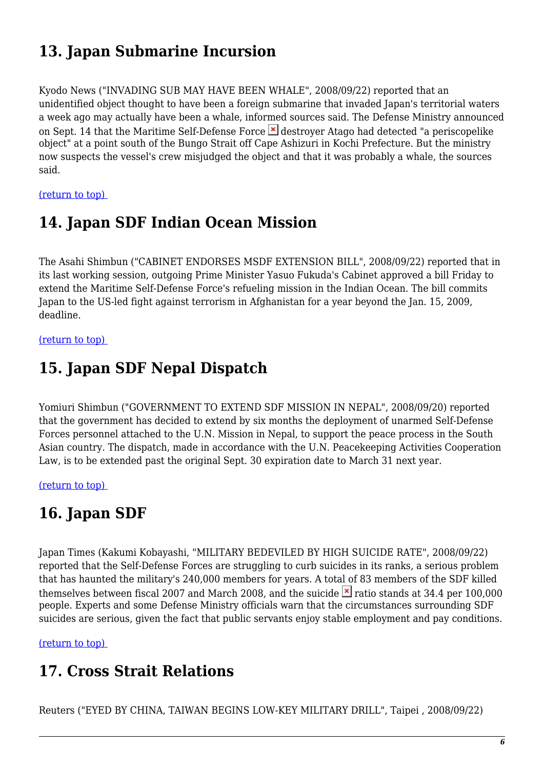# **13. Japan Submarine Incursion**

Kyodo News ("INVADING SUB MAY HAVE BEEN WHALE", 2008/09/22) reported that an unidentified object thought to have been a foreign submarine that invaded Japan's territorial waters a week ago may actually have been a whale, informed sources said. The Defense Ministry announced on Sept. 14 that the Maritime Self-Defense Force  $\overline{\phantom{a}}$  destroyer Atago had detected "a periscopelike object" at a point south of the Bungo Strait off Cape Ashizuri in Kochi Prefecture. But the ministry now suspects the vessel's crew misjudged the object and that it was probably a whale, the sources said.

<span id="page-5-0"></span>[\(return to top\)](#page-0-0) 

## **14. Japan SDF Indian Ocean Mission**

The Asahi Shimbun ("CABINET ENDORSES MSDF EXTENSION BILL", 2008/09/22) reported that in its last working session, outgoing Prime Minister Yasuo Fukuda's Cabinet approved a bill Friday to extend the Maritime Self-Defense Force's refueling mission in the Indian Ocean. The bill commits Japan to the US-led fight against terrorism in Afghanistan for a year beyond the Jan. 15, 2009, deadline.

<span id="page-5-1"></span>[\(return to top\)](#page-0-0) 

## **15. Japan SDF Nepal Dispatch**

Yomiuri Shimbun ("GOVERNMENT TO EXTEND SDF MISSION IN NEPAL", 2008/09/20) reported that the government has decided to extend by six months the deployment of unarmed Self-Defense Forces personnel attached to the U.N. Mission in Nepal, to support the peace process in the South Asian country. The dispatch, made in accordance with the U.N. Peacekeeping Activities Cooperation Law, is to be extended past the original Sept. 30 expiration date to March 31 next year.

<span id="page-5-2"></span>[\(return to top\)](#page-0-0) 

# **16. Japan SDF**

Japan Times (Kakumi Kobayashi, "MILITARY BEDEVILED BY HIGH SUICIDE RATE", 2008/09/22) reported that the Self-Defense Forces are struggling to curb suicides in its ranks, a serious problem that has haunted the military's 240,000 members for years. A total of 83 members of the SDF killed themselves between fiscal 2007 and March 2008, and the suicide  $\geq$  ratio stands at 34.4 per 100,000 people. Experts and some Defense Ministry officials warn that the circumstances surrounding SDF suicides are serious, given the fact that public servants enjoy stable employment and pay conditions.

<span id="page-5-3"></span>[\(return to top\)](#page-0-0) 

# **17. Cross Strait Relations**

Reuters ("EYED BY CHINA, TAIWAN BEGINS LOW-KEY MILITARY DRILL", Taipei , 2008/09/22)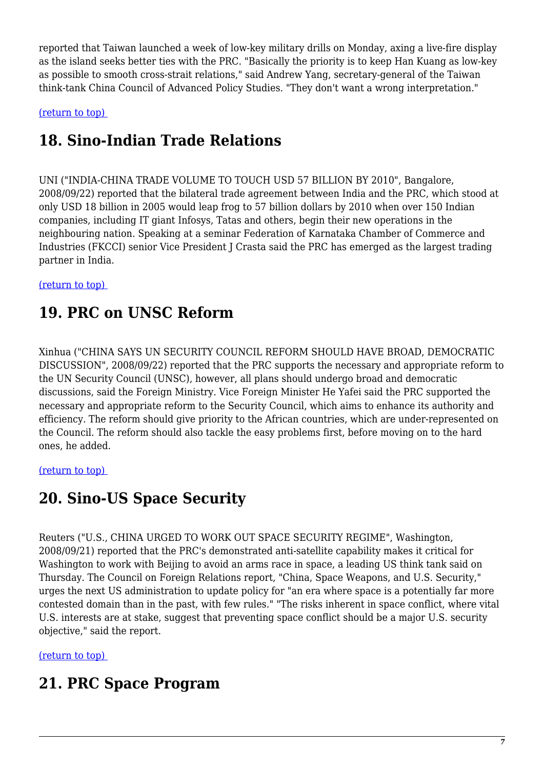reported that Taiwan launched a week of low-key military drills on Monday, axing a live-fire display as the island seeks better ties with the PRC. "Basically the priority is to keep Han Kuang as low-key as possible to smooth cross-strait relations," said Andrew Yang, secretary-general of the Taiwan think-tank China Council of Advanced Policy Studies. "They don't want a wrong interpretation."

<span id="page-6-0"></span>[\(return to top\)](#page-0-0) 

# **18. Sino-Indian Trade Relations**

UNI ("INDIA-CHINA TRADE VOLUME TO TOUCH USD 57 BILLION BY 2010", Bangalore, 2008/09/22) reported that the bilateral trade agreement between India and the PRC, which stood at only USD 18 billion in 2005 would leap frog to 57 billion dollars by 2010 when over 150 Indian companies, including IT giant Infosys, Tatas and others, begin their new operations in the neighbouring nation. Speaking at a seminar Federation of Karnataka Chamber of Commerce and Industries (FKCCI) senior Vice President J Crasta said the PRC has emerged as the largest trading partner in India.

<span id="page-6-1"></span>[\(return to top\)](#page-0-0) 

# **19. PRC on UNSC Reform**

Xinhua ("CHINA SAYS UN SECURITY COUNCIL REFORM SHOULD HAVE BROAD, DEMOCRATIC DISCUSSION", 2008/09/22) reported that the PRC supports the necessary and appropriate reform to the UN Security Council (UNSC), however, all plans should undergo broad and democratic discussions, said the Foreign Ministry. Vice Foreign Minister He Yafei said the PRC supported the necessary and appropriate reform to the Security Council, which aims to enhance its authority and efficiency. The reform should give priority to the African countries, which are under-represented on the Council. The reform should also tackle the easy problems first, before moving on to the hard ones, he added.

### <span id="page-6-2"></span>[\(return to top\)](#page-0-0)

# **20. Sino-US Space Security**

Reuters ("U.S., CHINA URGED TO WORK OUT SPACE SECURITY REGIME", Washington, 2008/09/21) reported that the PRC's demonstrated anti-satellite capability makes it critical for Washington to work with Beijing to avoid an arms race in space, a leading US think tank said on Thursday. The Council on Foreign Relations report, "China, Space Weapons, and U.S. Security," urges the next US administration to update policy for "an era where space is a potentially far more contested domain than in the past, with few rules." "The risks inherent in space conflict, where vital U.S. interests are at stake, suggest that preventing space conflict should be a major U.S. security objective," said the report.

<span id="page-6-3"></span>[\(return to top\)](#page-0-0) 

# **21. PRC Space Program**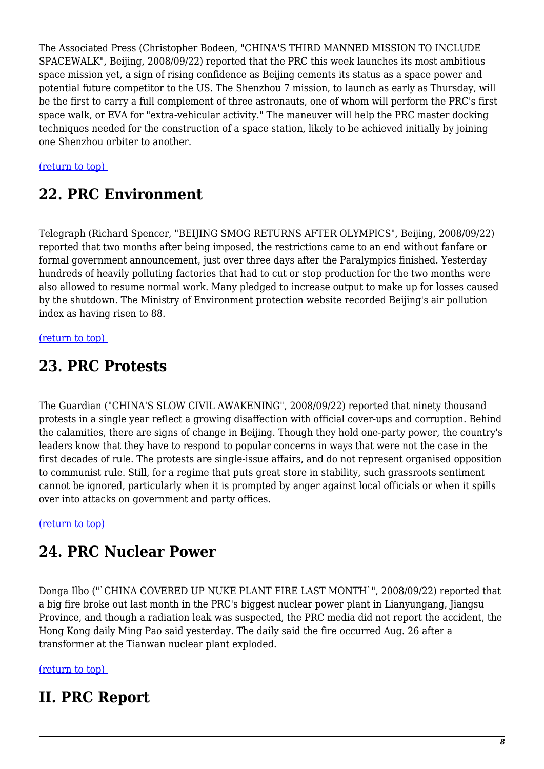The Associated Press (Christopher Bodeen, "CHINA'S THIRD MANNED MISSION TO INCLUDE SPACEWALK", Beijing, 2008/09/22) reported that the PRC this week launches its most ambitious space mission yet, a sign of rising confidence as Beijing cements its status as a space power and potential future competitor to the US. The Shenzhou 7 mission, to launch as early as Thursday, will be the first to carry a full complement of three astronauts, one of whom will perform the PRC's first space walk, or EVA for "extra-vehicular activity." The maneuver will help the PRC master docking techniques needed for the construction of a space station, likely to be achieved initially by joining one Shenzhou orbiter to another.

#### <span id="page-7-0"></span>[\(return to top\)](#page-0-0)

### **22. PRC Environment**

Telegraph (Richard Spencer, "BEIJING SMOG RETURNS AFTER OLYMPICS", Beijing, 2008/09/22) reported that two months after being imposed, the restrictions came to an end without fanfare or formal government announcement, just over three days after the Paralympics finished. Yesterday hundreds of heavily polluting factories that had to cut or stop production for the two months were also allowed to resume normal work. Many pledged to increase output to make up for losses caused by the shutdown. The Ministry of Environment protection website recorded Beijing's air pollution index as having risen to 88.

#### <span id="page-7-1"></span>[\(return to top\)](#page-0-0)

### **23. PRC Protests**

The Guardian ("CHINA'S SLOW CIVIL AWAKENING", 2008/09/22) reported that ninety thousand protests in a single year reflect a growing disaffection with official cover-ups and corruption. Behind the calamities, there are signs of change in Beijing. Though they hold one-party power, the country's leaders know that they have to respond to popular concerns in ways that were not the case in the first decades of rule. The protests are single-issue affairs, and do not represent organised opposition to communist rule. Still, for a regime that puts great store in stability, such grassroots sentiment cannot be ignored, particularly when it is prompted by anger against local officials or when it spills over into attacks on government and party offices.

#### <span id="page-7-2"></span>[\(return to top\)](#page-0-0)

### **24. PRC Nuclear Power**

Donga Ilbo ("`CHINA COVERED UP NUKE PLANT FIRE LAST MONTH`", 2008/09/22) reported that a big fire broke out last month in the PRC's biggest nuclear power plant in Lianyungang, Jiangsu Province, and though a radiation leak was suspected, the PRC media did not report the accident, the Hong Kong daily Ming Pao said yesterday. The daily said the fire occurred Aug. 26 after a transformer at the Tianwan nuclear plant exploded.

#### [\(return to top\)](#page-0-0)

### <span id="page-7-3"></span>**II. PRC Report**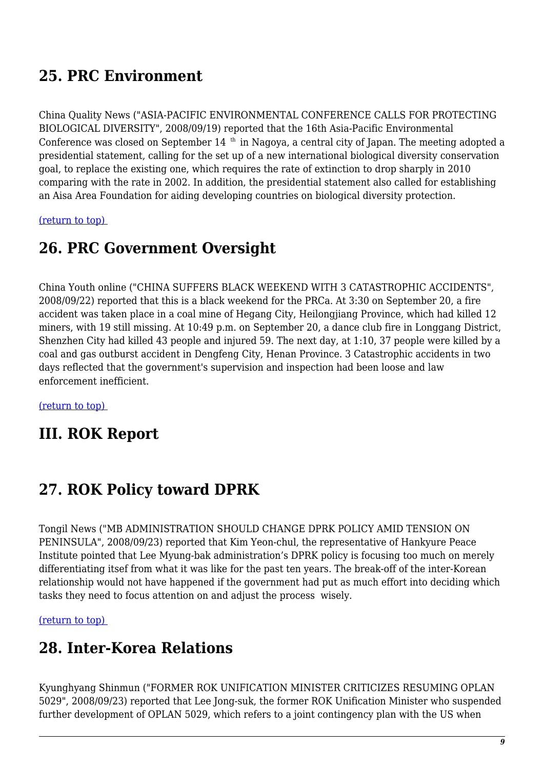# **25. PRC Environment**

China Quality News ("ASIA-PACIFIC ENVIRONMENTAL CONFERENCE CALLS FOR PROTECTING BIOLOGICAL DIVERSITY", 2008/09/19) reported that the 16th Asia-Pacific Environmental Conference was closed on September 14<sup>th</sup> in Nagoya, a central city of Japan. The meeting adopted a presidential statement, calling for the set up of a new international biological diversity conservation goal, to replace the existing one, which requires the rate of extinction to drop sharply in 2010 comparing with the rate in 2002. In addition, the presidential statement also called for establishing an Aisa Area Foundation for aiding developing countries on biological diversity protection.

<span id="page-8-0"></span>[\(return to top\)](#page-0-0) 

### **26. PRC Government Oversight**

China Youth online ("CHINA SUFFERS BLACK WEEKEND WITH 3 CATASTROPHIC ACCIDENTS", 2008/09/22) reported that this is a black weekend for the PRCa. At 3:30 on September 20, a fire accident was taken place in a coal mine of Hegang City, Heilongjiang Province, which had killed 12 miners, with 19 still missing. At 10:49 p.m. on September 20, a dance club fire in Longgang District, Shenzhen City had killed 43 people and injured 59. The next day, at 1:10, 37 people were killed by a coal and gas outburst accident in Dengfeng City, Henan Province. 3 Catastrophic accidents in two days reflected that the government's supervision and inspection had been loose and law enforcement inefficient.

[\(return to top\)](#page-0-0) 

### **III. ROK Report**

# <span id="page-8-1"></span>**27. ROK Policy toward DPRK**

Tongil News ("MB ADMINISTRATION SHOULD CHANGE DPRK POLICY AMID TENSION ON PENINSULA", 2008/09/23) reported that Kim Yeon-chul, the representative of Hankyure Peace Institute pointed that Lee Myung-bak administration's DPRK policy is focusing too much on merely differentiating itsef from what it was like for the past ten years. The break-off of the inter-Korean relationship would not have happened if the government had put as much effort into deciding which tasks they need to focus attention on and adjust the process wisely.

<span id="page-8-2"></span>[\(return to top\)](#page-0-0) 

### **28. Inter-Korea Relations**

Kyunghyang Shinmun ("FORMER ROK UNIFICATION MINISTER CRITICIZES RESUMING OPLAN 5029", 2008/09/23) reported that Lee Jong-suk, the former ROK Unification Minister who suspended further development of OPLAN 5029, which refers to a joint contingency plan with the US when